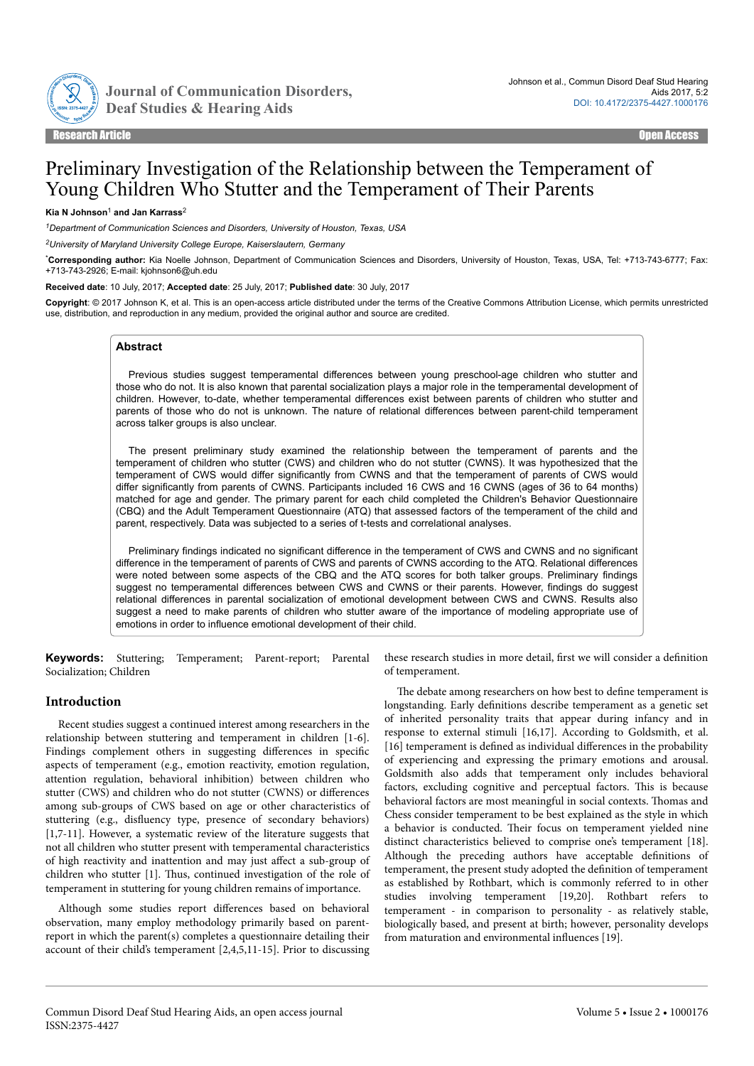

Journal of Communication Disorders,

# Preliminary Investigation of the Relationship between the Temperament of Young Children Who Stutter and the Temperament of Their Parents

#### **Kia N Johnson**<sup>1</sup>  **and Jan Karrass**<sup>2</sup>

*<sup>1</sup>Department of Communication Sciences and Disorders, University of Houston, Texas, USA*

*<sup>2</sup>University of Maryland University College Europe, Kaiserslautern, Germany*

\***Corresponding author:** Kia Noelle Johnson, Department of Communication Sciences and Disorders, University of Houston, Texas, USA, Tel: +713-743-6777; Fax: +713-743-2926; E-mail: kjohnson6@uh.edu

**Received date**: 10 July, 2017; **Accepted date**: 25 July, 2017; **Published date**: 30 July, 2017

**Copyright**: © 2017 Johnson K, et al. This is an open-access article distributed under the terms of the Creative Commons Attribution License, which permits unrestricted use, distribution, and reproduction in any medium, provided the original author and source are credited.

## **Abstract**

Previous studies suggest temperamental differences between young preschool-age children who stutter and those who do not. It is also known that parental socialization plays a major role in the temperamental development of children. However, to-date, whether temperamental differences exist between parents of children who stutter and parents of those who do not is unknown. The nature of relational differences between parent-child temperament across talker groups is also unclear.

The present preliminary study examined the relationship between the temperament of parents and the temperament of children who stutter (CWS) and children who do not stutter (CWNS). It was hypothesized that the temperament of CWS would differ significantly from CWNS and that the temperament of parents of CWS would differ significantly from parents of CWNS. Participants included 16 CWS and 16 CWNS (ages of 36 to 64 months) matched for age and gender. The primary parent for each child completed the Children's Behavior Questionnaire (CBQ) and the Adult Temperament Questionnaire (ATQ) that assessed factors of the temperament of the child and parent, respectively. Data was subjected to a series of t-tests and correlational analyses.

Preliminary findings indicated no significant difference in the temperament of CWS and CWNS and no significant difference in the temperament of parents of CWS and parents of CWNS according to the ATQ. Relational differences were noted between some aspects of the CBQ and the ATQ scores for both talker groups. Preliminary findings suggest no temperamental differences between CWS and CWNS or their parents. However, findings do suggest relational differences in parental socialization of emotional development between CWS and CWNS. Results also suggest a need to make parents of children who stutter aware of the importance of modeling appropriate use of emotions in order to influence emotional development of their child.

**Keywords:** Stuttering; Temperament; Parent-report; Parental Socialization; Children

## **Introduction**

Recent studies suggest a continued interest among researchers in the relationship between stuttering and temperament in children [1-6]. Findings complement others in suggesting differences in specific aspects of temperament (e.g., emotion reactivity, emotion regulation, attention regulation, behavioral inhibition) between children who stutter (CWS) and children who do not stutter (CWNS) or differences among sub-groups of CWS based on age or other characteristics of stuttering (e.g., disfluenc\ type, presence of secondary behaviors) [1,7-11]. However, a systematic review of the literature suggests that not all children who stutter present with temperamental characteristics of high reactivity and inattention and may just affect a sub-group of children who stutter [1]. Нus, continued investigation of the role of temperament in stuttering for young children remains of importance.

Although some studies report differences based on behavioral observation, many employ methodology primarily based on parentreport in which the parent(s) completes a questionnaire detailing their account of their child's temperament [2,4,5,11-15]. Prior to discussing these research studies in more detail, first we will consider a definition of temperament.

The debate among researchers on how best to define temperament is longstanding. Early definitions describe temperament as a genetic set of inherited personality traits that appear during infancy and in response to external stimuli [16,17]. According to Goldsmith, et al.  $[16]$  temperament is defined as individual differences in the probability of experiencing and expressing the primary emotions and arousal. Goldsmith also adds that temperament only includes behavioral factors, excluding cognitive and perceptual factors. Нis is because behavioral factors are most meaningful in social contexts. Нomas and Chess consider temperament to be best explained as the style in which a behavior is conducted. Нeir focus on temperament yielded nine distinct characteristics believed to comprise one's temperament [18]. Although the preceding authors have acceptable definitions of temperament, the present study adopted the definition of temperament as established by Rothbart, which is commonly referred to in other studies involving temperament [19,20]. Rothbart refers to temperament - in comparison to personality - as relatively stable, biologically based, and present at birth; however, personality develops from maturation and environmental influences [19].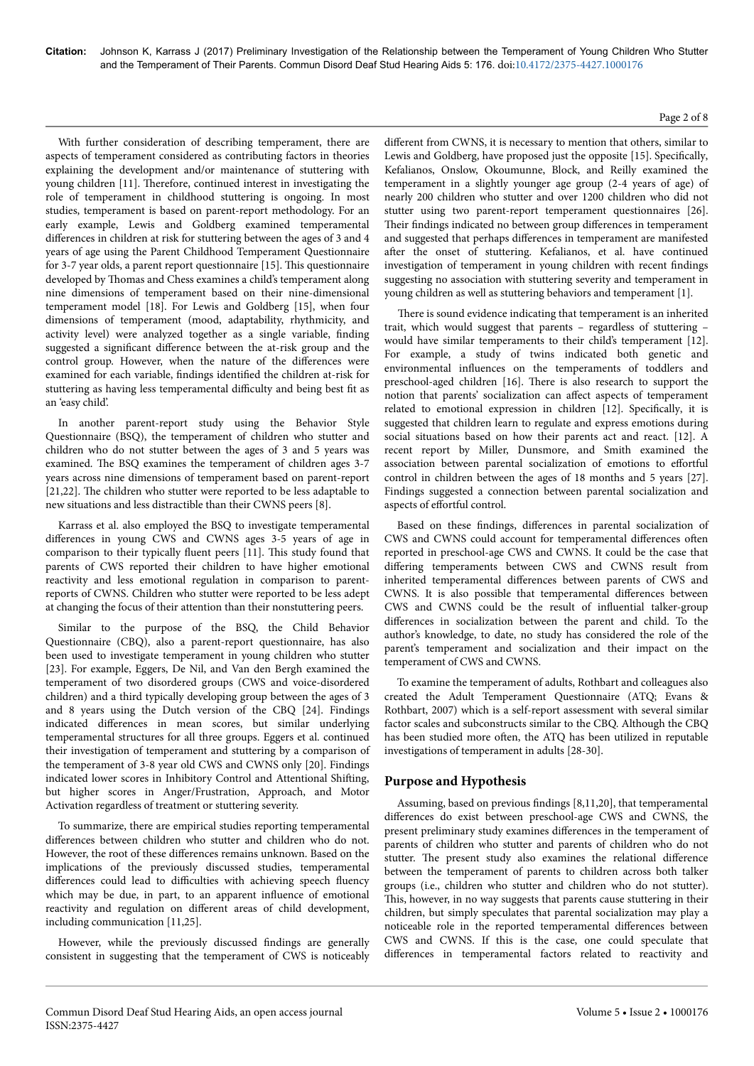With further consideration of describing temperament, there are aspects of temperament considered as contributing factors in theories explaining the development and/or maintenance of stuttering with young children [11]. Нerefore, continued interest in investigating the role of temperament in childhood stuttering is ongoing. In most studies, temperament is based on parent-report methodology. For an early example, Lewis and Goldberg examined temperamental differences in children at risk for stuttering between the ages of 3 and 4 years of age using the Parent Childhood Temperament Questionnaire for 3-7 year olds, a parent report questionnaire [15]. Нis questionnaire developed by Нomas and Chess examines a child's temperament along nine dimensions of temperament based on their nine-dimensional temperament model [18]. For Lewis and Goldberg [15], when four dimensions of temperament (mood, adaptability, rhythmicity, and activity level) were analyzed together as a single variable, finding suggested a significant difference between the at-risk group and the control group. However, when the nature of the differences were examined for each variable, findings identified the children at-risk for stuttering as having less temperamental difficulty and being best fit as an 'easy child'.

In another parent-report study using the Behavior Style Questionnaire (BSQ), the temperament of children who stutter and children who do not stutter between the ages of 3 and 5 years was examined. The BSQ examines the temperament of children ages 3-7 years across nine dimensions of temperament based on parent-report [21,22]. The children who stutter were reported to be less adaptable to new situations and less distractible than their CWNS peers [8].

Karrass et al. also employed the BSQ to investigate temperamental differences in young CWS and CWNS ages 3-5 years of age in comparison to their typically fluent peers [11]. Нis study found that parents of CWS reported their children to have higher emotional reactivity and less emotional regulation in comparison to parentreports of CWNS. Children who stutter were reported to be less adept at changing the focus of their attention than their nonstuttering peers.

Similar to the purpose of the BSQ, the Child Behavior Questionnaire (CBQ), also a parent-report questionnaire, has also been used to investigate temperament in young children who stutter [23]. For example, Eggers, De Nil, and Van den Bergh examined the temperament of two disordered groups (CWS and voice-disordered children) and a third typically developing group between the ages of 3 and 8 years using the Dutch version of the CBQ [24]. Findings indicated differences in mean scores, but similar underlying temperamental structures for all three groups. Eggers et al. continued their investigation of temperament and stuttering by a comparison of the temperament of 3-8 year old CWS and CWNS only [20]. Findings indicated lower scores in Inhibitory Control and Attentional Shifting, but higher scores in Anger/Frustration, Approach, and Motor Activation regardless of treatment or stuttering severity.

To summarize, there are empirical studies reporting temperamental differences between children who stutter and children who do not. However, the root of these differences remains unknown. Based on the implications of the previously discussed studies, temperamental differences could lead to difficulties with achieving speech fluency which may be due, in part, to an apparent influence of emotional reactivity and regulation on different areas of child development, including communication [11,25].

However, while the previously discussed findings are generally consistent in suggesting that the temperament of CWS is noticeably different from CWNS, it is necessary to mention that others, similar to Lewis and Goldberg, have proposed just the opposite [15]. Specifically, Kefalianos, Onslow, Okoumunne, Block, and Reilly examined the temperament in a slightly younger age group (2-4 years of age) of nearly 200 children who stutter and over 1200 children who did not stutter using two parent-report temperament questionnaires [26]. Their findings indicated no between group differences in temperament and suggested that perhaps differences in temperament are manifested after the onset of stuttering. Kefalianos, et al. have continued investigation of temperament in young children with recent findings suggesting no association with stuttering severity and temperament in young children as well as stuttering behaviors and temperament [1].

There is sound evidence indicating that temperament is an inherited trait, which would suggest that parents – regardless of stuttering – would have similar temperaments to their child's temperament [12]. For example, a study of twins indicated both genetic and environmental influences on the temperaments of toddlers and preschool-aged children [16]. Нere is also research to support the notion that parents' socialization can affect aspects of temperament related to emotional expression in children [12]. Specifically, it is suggested that children learn to regulate and express emotions during social situations based on how their parents act and react. [12]. A recent report by Miller, Dunsmore, and Smith examined the association between parental socialization of emotions to effortful control in children between the ages of 18 months and 5 years [27]. Findings suggested a connection between parental socialization and aspects of effortful control.

Based on these findings, differences in parental socialization of CWS and CWNS could account for temperamental differences often reported in preschool-age CWS and CWNS. It could be the case that differing temperaments between CWS and CWNS result from inherited temperamental differences between parents of CWS and CWNS. It is also possible that temperamental differences between CWS and CWNS could be the result of influential talker-group differences in socialization between the parent and child. To the author's knowledge, to date, no study has considered the role of the parent's temperament and socialization and their impact on the temperament of CWS and CWNS.

To examine the temperament of adults, Rothbart and colleagues also created the Adult Temperament Questionnaire (ATQ; Evans & Rothbart, 2007) which is a self-report assessment with several similar factor scales and subconstructs similar to the CBQ. Although the CBQ has been studied more often, the ATQ has been utilized in reputable investigations of temperament in adults [28-30].

# **Purpose and Hypothesis**

Assuming, based on previous findings [8,11,20], that temperamental differences do exist between preschool-age CWS and CWNS, the present preliminary study examines differences in the temperament of parents of children who stutter and parents of children who do not stutter. The present study also examines the relational difference between the temperament of parents to children across both talker groups (i.e., children who stutter and children who do not stutter). This, however, in no way suggests that parents cause stuttering in their children, but simply speculates that parental socialization may play a noticeable role in the reported temperamental differences between CWS and CWNS. If this is the case, one could speculate that differences in temperamental factors related to reactivity and

## Page 2 of 8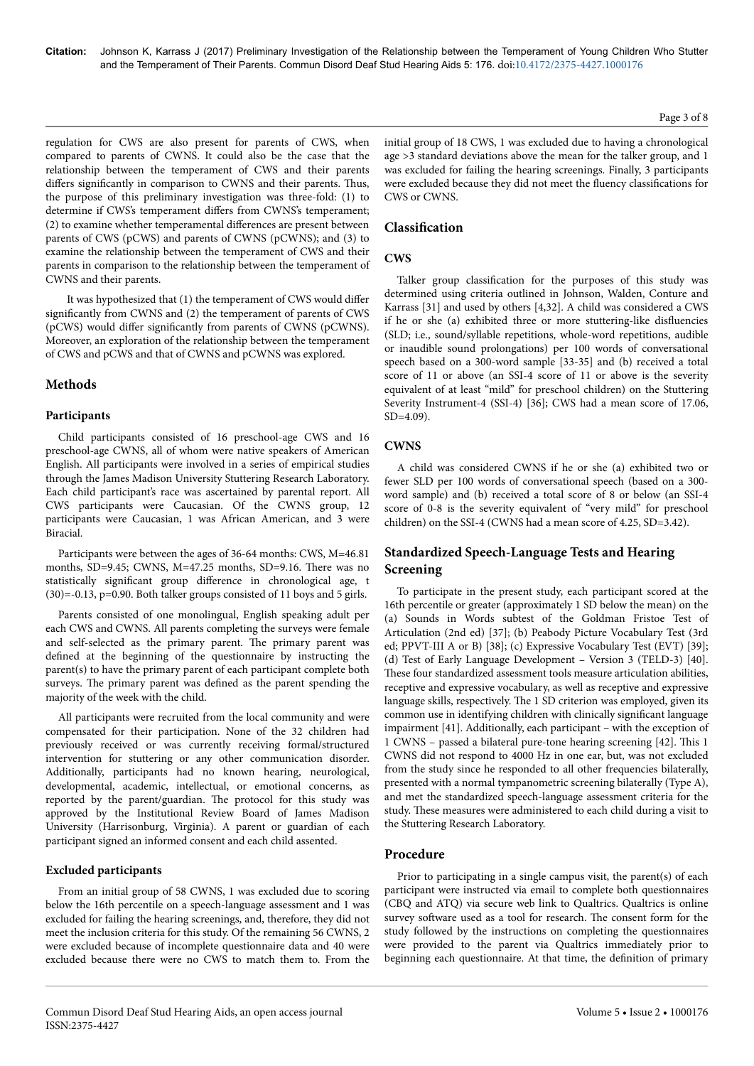regulation for CWS are also present for parents of CWS, when compared to parents of CWNS. It could also be the case that the relationship between the temperament of CWS and their parents differs significantly in comparison to CWNS and their parents. Thus, the purpose of this preliminary investigation was three-fold: (1) to determine if CWS's temperament differs from CWNS's temperament;  $(2)$  to examine whether temperamental differences are present between parents of CWS (pCWS) and parents of CWNS (pCWNS); and (3) to examine the relationship between the temperament of CWS and their parents in comparison to the relationship between the temperament of CWNS and their parents.

It was hypothesized that (1) the temperament of CWS would differ significantly from CWNS and (2) the temperament of parents of CWS  $(pCWS)$  would differ significantly from parents of CWNS ( $pCWNS$ ). Moreover, an exploration of the relationship between the temperament of CWS and pCWS and that of CWNS and pCWNS was explored.

# **Methods**

## **Participants**

Child participants consisted of 16 preschool-age CWS and 16 preschool-age CWNS, all of whom were native speakers of American English. All participants were involved in a series of empirical studies through the James Madison University Stuttering Research Laboratory. Each child participant's race was ascertained by parental report. All CWS participants were Caucasian. Of the CWNS group, 12 participants were Caucasian, 1 was African American, and 3 were Biracial.

Participants were between the ages of 36-64 months: CWS, M=46.81 months, SD=9.45; CWNS, M=47.25 months, SD=9.16. There was no statistically significant group difference in chronological age, t  $(30)=0.13$ ,  $p=0.90$ . Both talker groups consisted of 11 boys and 5 girls.

Parents consisted of one monolingual, English speaking adult per each CWS and CWNS. All parents completing the surveys were female and self-selected as the primary parent. Нe primary parent was defined at the beginning of the questionnaire by instructing the parent(s) to have the primary parent of each participant complete both surveys. Нe primary parent was defined as the parent spending the majority of the week with the child.

All participants were recruited from the local community and were compensated for their participation. None of the 32 children had previously received or was currently receiving formal/structured intervention for stuttering or any other communication disorder. Additionally, participants had no known hearing, neurological, developmental, academic, intellectual, or emotional concerns, as reported by the parent/guardian. Нe protocol for this study was approved by the Institutional Review Board of James Madison University (Harrisonburg, Virginia). A parent or guardian of each participant signed an informed consent and each child assented.

# **Excluded participants**

From an initial group of 58 CWNS, 1 was excluded due to scoring below the 16th percentile on a speech-language assessment and 1 was excluded for failing the hearing screenings, and, therefore, they did not meet the inclusion criteria for this study. Of the remaining 56 CWNS, 2 were excluded because of incomplete questionnaire data and 40 were excluded because there were no CWS to match them to. From the initial group of 18 CWS, 1 was excluded due to having a chronological age >3 standard deviations above the mean for the talker group, and 1 was excluded for failing the hearing screenings. Finally, 3 participants were excluded because they did not meet the fluency classifications for CWS or CWNS.

## **Classification**

# **CWS**

Talker group classification for the purposes of this study was determined using criteria outlined in Johnson, Walden, Conture and Karrass [31] and used by others [4,32]. A child was considered a CWS if he or she (a) exhibited three or more stuttering-like disfluencies (SLD; i.e., sound/syllable repetitions, whole-word repetitions, audible or inaudible sound prolongations) per 100 words of conversational speech based on a 300-word sample [33-35] and (b) received a total score of 11 or above (an SSI-4 score of 11 or above is the severity equivalent of at least "mild" for preschool children) on the Stuttering Severity Instrument-4 (SSI-4) [36]; CWS had a mean score of 17.06,  $SD=4.09$ ).

# **CWNS**

A child was considered CWNS if he or she (a) exhibited two or fewer SLD per 100 words of conversational speech (based on a 300 word sample) and (b) received a total score of 8 or below (an SSI-4 score of 0-8 is the severity equivalent of "very mild" for preschool children) on the SSI-4 (CWNS had a mean score of 4.25, SD=3.42).

# **Standardized Speech-Language Tests and Hearing Screening**

To participate in the present study, each participant scored at the 16th percentile or greater (approximately 1 SD below the mean) on the (a) Sounds in Words subtest of the Goldman Fristoe Test of Articulation (2nd ed) [37]; (b) Peabody Picture Vocabulary Test (3rd ed; PPVT-III A or B) [38]; (c) Expressive Vocabulary Test (EVT) [39]; (d) Test of Early Language Development – Version 3 (TELD-3) [40]. These four standardized assessment tools measure articulation abilities, receptive and expressive vocabulary, as well as receptive and expressive language skills, respectively. Нe 1 SD criterion was employed, given its common use in identifying children with clinically significant language impairment [41]. Additionally, each participant – with the exception of 1 CWNS – passed a bilateral pure-tone hearing screening [42]. Нis 1 CWNS did not respond to 4000 Hz in one ear, but, was not excluded from the study since he responded to all other frequencies bilaterally, presented with a normal tympanometric screening bilaterally (Type A), and met the standardized speech-language assessment criteria for the study. Нese measures were administered to each child during a visit to the Stuttering Research Laboratory.

# **Procedure**

Prior to participating in a single campus visit, the parent(s) of each participant were instructed via email to complete both questionnaires (CBQ and ATQ) via secure web link to Qualtrics. Qualtrics is online survey software used as a tool for research. The consent form for the study followed by the instructions on completing the questionnaires were provided to the parent via Qualtrics immediately prior to beginning each questionnaire. At that time, the definition of primary

Page 3 of 8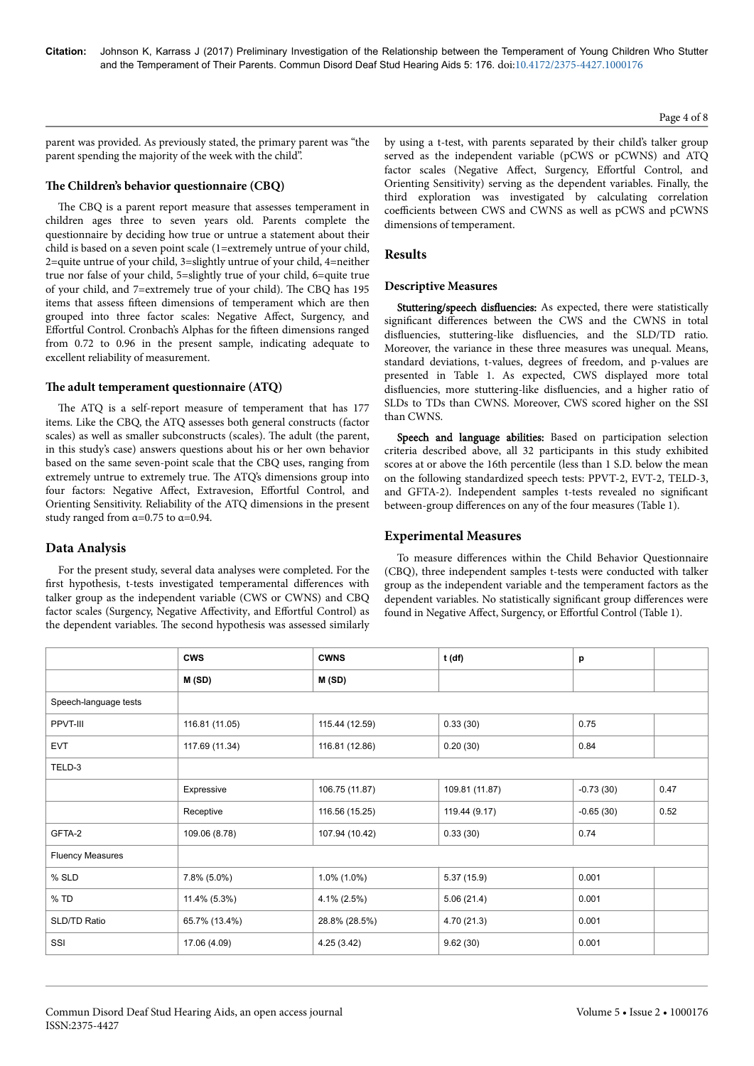Page 4 of 8

parent was provided. As previously stated, the primary parent was "the parent spending the majority of the week with the child".

## The Children's behavior questionnaire (CBQ)

The CBQ is a parent report measure that assesses temperament in children ages three to seven years old. Parents complete the questionnaire by deciding how true or untrue a statement about their child is based on a seven point scale (1=extremely untrue of your child, 2=quite untrue of your child, 3=slightly untrue of your child, 4=neither true nor false of your child, 5=slightly true of your child, 6=quite true of your child, and 7=extremely true of your child). Нe CBQ has 195 items that assess fifteen dimensions of temperament which are then grouped into three factor scales: Negative Affect, Surgency, and Effortful Control. Cronbach's Alphas for the fifteen dimensions ranged from 0.72 to 0.96 in the present sample, indicating adequate to excellent reliability of measurement.

## The adult temperament questionnaire (ATQ)

The ATQ is a self-report measure of temperament that has 177 items. Like the CBQ, the ATQ assesses both general constructs (factor scales) as well as smaller subconstructs (scales). Нe adult (the parent, in this study's case) answers questions about his or her own behavior based on the same seven-point scale that the CBQ uses, ranging from extremely untrue to extremely true. Нe ATQ's dimensions group into four factors: Negative Affect, Extravesion, Effortful Control, and Orienting Sensitivity. Reliability of the ATQ dimensions in the present study ranged from  $\alpha$ =0.75 to  $\alpha$ =0.94.

# **Data Analysis**

For the present study, several data analyses were completed. For the first hypothesis, t-tests investigated temperamental differences with talker group as the independent variable (CWS or CWNS) and CBQ factor scales (Surgency, Negative Affectivity, and Effortful Control) as the dependent variables. Нe second hypothesis was assessed similarly

by using a t-test, with parents separated by their child's talker group served as the independent variable (pCWS or pCWNS) and ATQ factor scales (Negative Affect, Surgency, Effortful Control, and Orienting Sensitivity) serving as the dependent variables. Finally, the third exploration was investigated by calculating correlation coefficients between CWS and CWNS as well as pCWS and pCWNS dimensions of temperament.

# **Results**

## **Descriptive Measures**

Stuttering/speech disfluencies: As expected, there were statistically significant differences between the CWS and the CWNS in total disfluencies, stuttering-like disfluencies, and the SLD/TD ratio. Moreover, the variance in these three measures was unequal. Means, standard deviations, t-values, degrees of freedom, and p-values are presented in Table 1. As expected, CWS displayed more total disfluencies, more stuttering-like disfluencies, and a higher ratio of SLDs to TDs than CWNS. Moreover, CWS scored higher on the SSI than CWNS.

Speech and language abilities: Based on participation selection criteria described above, all 32 participants in this study exhibited scores at or above the 16th percentile (less than 1 S.D. below the mean on the following standardized speech tests: PPVT-2, EVT-2, TELD-3, and GFTA-2). Independent samples t-tests revealed no significant between-group differences on any of the four measures (Table 1).

# **Experimental Measures**

To measure differences within the Child Behavior Questionnaire (CBQ), three independent samples t-tests were conducted with talker group as the independent variable and the temperament factors as the dependent variables. No statistically significant group differences were found in Negative Affect, Surgency, or Effortful Control (Table 1).

|                         | <b>CWS</b>     | <b>CWNS</b>    | $t$ (df)       | p           |      |
|-------------------------|----------------|----------------|----------------|-------------|------|
|                         | M(SD)          | M(SD)          |                |             |      |
| Speech-language tests   |                |                |                |             |      |
| PPVT-III                | 116.81 (11.05) | 115.44 (12.59) | 0.33(30)       | 0.75        |      |
| <b>EVT</b>              | 117.69 (11.34) | 116.81 (12.86) | 0.20(30)       | 0.84        |      |
| TELD-3                  |                |                |                |             |      |
|                         | Expressive     | 106.75 (11.87) | 109.81 (11.87) | $-0.73(30)$ | 0.47 |
|                         | Receptive      | 116.56 (15.25) | 119.44 (9.17)  | $-0.65(30)$ | 0.52 |
| GFTA-2                  | 109.06 (8.78)  | 107.94 (10.42) | 0.33(30)       | 0.74        |      |
| <b>Fluency Measures</b> |                |                |                |             |      |
| % SLD                   | 7.8% (5.0%)    | 1.0% (1.0%)    | 5.37(15.9)     | 0.001       |      |
| $%$ TD                  | 11.4% (5.3%)   | 4.1% (2.5%)    | 5.06(21.4)     | 0.001       |      |
| SLD/TD Ratio            | 65.7% (13.4%)  | 28.8% (28.5%)  | 4.70 (21.3)    | 0.001       |      |
| SSI                     | 17.06 (4.09)   | 4.25(3.42)     | 9.62(30)       | 0.001       |      |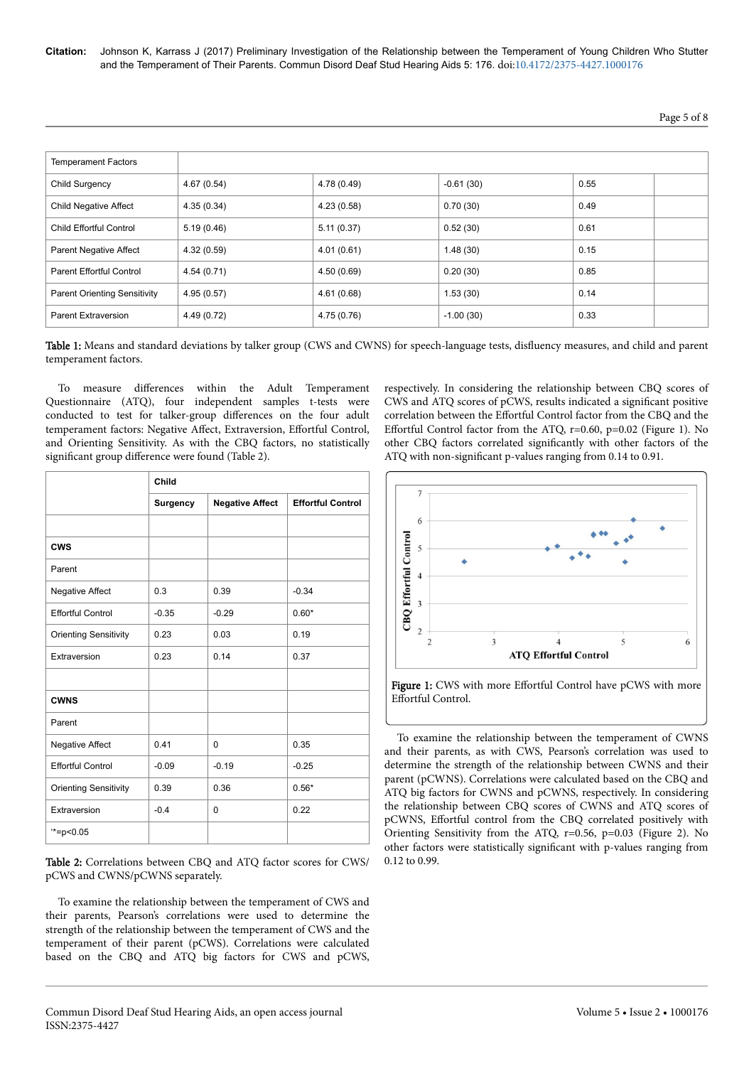**Citation:** Johnson K, Karrass J (2017) Preliminary Investigation of the Relationship between the Temperament of Young Children Who Stutter and the Temperament of Their Parents. Commun Disord Deaf Stud Hearing Aids 5: 176. doi:10.4172/2375-4427.1000176

| <b>Temperament Factors</b>          |             |             |             |      |  |
|-------------------------------------|-------------|-------------|-------------|------|--|
| <b>Child Surgency</b>               | 4.67(0.54)  | 4.78(0.49)  | $-0.61(30)$ | 0.55 |  |
| <b>Child Negative Affect</b>        | 4.35(0.34)  | 4.23(0.58)  | 0.70(30)    | 0.49 |  |
| Child Effortful Control             | 5.19(0.46)  | 5.11(0.37)  | 0.52(30)    | 0.61 |  |
| <b>Parent Negative Affect</b>       | 4.32(0.59)  | 4.01(0.61)  | 1.48(30)    | 0.15 |  |
| Parent Effortful Control            | 4.54(0.71)  | 4.50 (0.69) | 0.20(30)    | 0.85 |  |
| <b>Parent Orienting Sensitivity</b> | 4.95(0.57)  | 4.61(0.68)  | 1.53(30)    | 0.14 |  |
| Parent Extraversion                 | 4.49 (0.72) | 4.75 (0.76) | $-1.00(30)$ | 0.33 |  |

Table 1: Means and standard deviations by talker group (CWS and CWNS) for speech-language tests, disfluency measures, and child and parent temperament factors.

To measure differences within the Adult Temperament Questionnaire (ATQ), four independent samples t-tests were conducted to test for talker-group differences on the four adult temperament factors: Negative Affect, Extraversion, Effortful Control, and Orienting Sensitivity. As with the CBQ factors, no statistically significant group difference were found (Table 2).

|                              | Child    |                        |                          |  |
|------------------------------|----------|------------------------|--------------------------|--|
|                              | Surgency | <b>Negative Affect</b> | <b>Effortful Control</b> |  |
|                              |          |                        |                          |  |
| <b>CWS</b>                   |          |                        |                          |  |
| Parent                       |          |                        |                          |  |
| Negative Affect              | 0.3      | 0.39                   | $-0.34$                  |  |
| <b>Effortful Control</b>     | $-0.35$  | $-0.29$                | $0.60*$                  |  |
| <b>Orienting Sensitivity</b> | 0.23     | 0.03                   | 0.19                     |  |
| Extraversion                 | 0.23     | 0.14                   | 0.37                     |  |
|                              |          |                        |                          |  |
| <b>CWNS</b>                  |          |                        |                          |  |
| Parent                       |          |                        |                          |  |
| Negative Affect              | 0.41     | 0                      | 0.35                     |  |
| <b>Effortful Control</b>     | $-0.09$  | $-0.19$                | $-0.25$                  |  |
| <b>Orienting Sensitivity</b> | 0.39     | 0.36                   | $0.56*$                  |  |
| Extraversion                 | $-0.4$   | 0                      | 0.22                     |  |
| $*=p<0.05$                   |          |                        |                          |  |

Table 2: Correlations between CBQ and ATQ factor scores for CWS/ pCWS and CWNS/pCWNS separately.

To examine the relationship between the temperament of CWS and their parents, Pearson's correlations were used to determine the strength of the relationship between the temperament of CWS and the temperament of their parent (pCWS). Correlations were calculated based on the CBQ and ATQ big factors for CWS and pCWS,

ISSN:2375-4427

respectively. In considering the relationship between CBQ scores of CWS and ATQ scores of pCWS, results indicated a significant positive correlation between the Effortful Control factor from the CBQ and the Effortful Control factor from the ATQ,  $r=0.60$ ,  $p=0.02$  (Figure 1). No other CBQ factors correlated significantly with other factors of the ATQ with non-significant p-values ranging from 0.14 to 0.91.

Page 5 of 8





To examine the relationship between the temperament of CWNS and their parents, as with CWS, Pearson's correlation was used to determine the strength of the relationship between CWNS and their parent (pCWNS). Correlations were calculated based on the CBQ and ATQ big factors for CWNS and pCWNS, respectively. In considering the relationship between CBQ scores of CWNS and ATQ scores of pCWNS, Effortful control from the CBQ correlated positively with Orienting Sensitivity from the ATQ, r=0.56, p=0.03 (Figure 2). No other factors were statistically significant with p-values ranging from 0.12 to 0.99.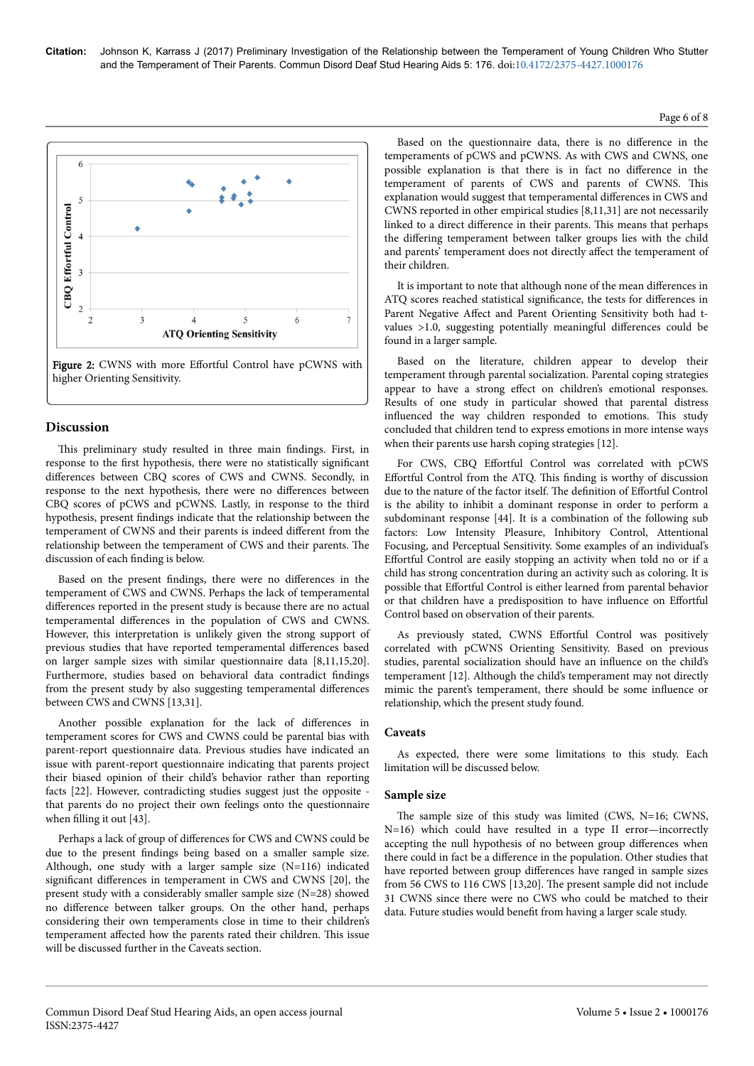



# **Discussion**

This preliminary study resulted in three main findings. First, in response to the first hypothesis, there were no statistically significant differences between CBQ scores of CWS and CWNS. Secondly, in response to the next hypothesis, there were no differences between CBQ scores of pCWS and pCWNS. Lastly, in response to the third hypothesis, present findings indicate that the relationship between the temperament of CWNS and their parents is indeed different from the relationship between the temperament of CWS and their parents. Нe discussion of each finding is below.

Based on the present findings, there were no differences in the temperament of CWS and CWNS. Perhaps the lack of temperamental differences reported in the present study is because there are no actual temperamental differences in the population of CWS and CWNS. However, this interpretation is unlikely given the strong support of previous studies that have reported temperamental differences based on larger sample sizes with similar questionnaire data [8,11,15,20]. Furthermore, studies based on behavioral data contradict findings from the present study by also suggesting temperamental differences between CWS and CWNS [13,31].

Another possible explanation for the lack of differences in temperament scores for CWS and CWNS could be parental bias with parent-report questionnaire data. Previous studies have indicated an issue with parent-report questionnaire indicating that parents project their biased opinion of their child's behavior rather than reporting facts [22]. However, contradicting studies suggest just the opposite that parents do no project their own feelings onto the questionnaire when filling it out [43].

Perhaps a lack of group of differences for CWS and CWNS could be due to the present findings being based on a smaller sample size. Although, one study with a larger sample size (N=116) indicated significant differences in temperament in CWS and CWNS [20], the present study with a considerably smaller sample size (N=28) showed no difference between talker groups. On the other hand, perhaps considering their own temperaments close in time to their children's temperament affected how the parents rated their children. This issue will be discussed further in the Caveats section.

Based on the questionnaire data, there is no difference in the temperaments of pCWS and pCWNS. As with CWS and CWNS, one possible explanation is that there is in fact no difference in the temperament of parents of CWS and parents of CWNS. Нis explanation would suggest that temperamental differences in CWS and CWNS reported in other empirical studies [8,11,31] are not necessarily linked to a direct difference in their parents. This means that perhaps the differing temperament between talker groups lies with the child and parents' temperament does not directly affect the temperament of their children.

It is important to note that although none of the mean differences in ATQ scores reached statistical significance, the tests for differences in Parent Negative Affect and Parent Orienting Sensitivity both had tvalues  $>1.0$ , suggesting potentially meaningful differences could be found in a larger sample.

Based on the literature, children appear to develop their temperament through parental socialization. Parental coping strategies appear to have a strong effect on children's emotional responses. Results of one study in particular showed that parental distress influenced the way children responded to emotions. Нis study concluded that children tend to express emotions in more intense ways when their parents use harsh coping strategies [12].

For CWS, CBQ Effortful Control was correlated with pCWS Effortful Control from the ATQ. This finding is worthy of discussion due to the nature of the factor itself. The definition of Effortful Control is the ability to inhibit a dominant response in order to perform a subdominant response [44]. It is a combination of the following sub factors: Low Intensity Pleasure, Inhibitory Control, Attentional Focusing, and Perceptual Sensitivity. Some examples of an individual's Effortful Control are easily stopping an activity when told no or if a child has strong concentration during an activity such as coloring. It is possible that Effortful Control is either learned from parental behavior or that children have a predisposition to have influence on Effortful Control based on observation of their parents.

As previously stated, CWNS Effortful Control was positively correlated with pCWNS Orienting Sensitivity. Based on previous studies, parental socialization should have an influence on the child's temperament [12]. Although the child's temperament may not directly mimic the parent's temperament, there should be some influence or relationship, which the present study found.

## **Caveats**

As expected, there were some limitations to this study. Each limitation will be discussed below.

## **Sample size**

The sample size of this study was limited (CWS, N=16; CWNS, N=16) which could have resulted in a type II error—incorrectly accepting the null hypothesis of no between group differences when there could in fact be a difference in the population. Other studies that have reported between group differences have ranged in sample sizes from 56 CWS to 116 CWS [13,20]. The present sample did not include 31 CWNS since there were no CWS who could be matched to their data. Future studies would benefit from having a larger scale study.

### Page 6 of 8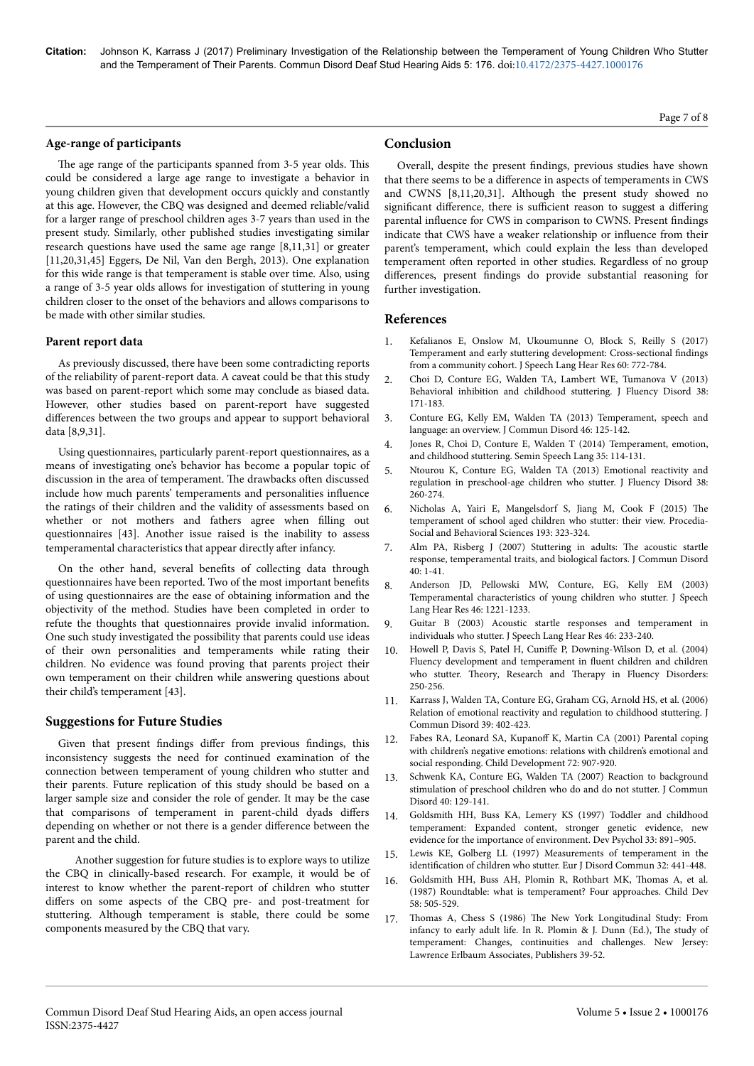**Citation:** Johnson K, Karrass J (2017) Preliminary Investigation of the Relationship between the Temperament of Young Children Who Stutter and the Temperament of Their Parents. Commun Disord Deaf Stud Hearing Aids 5: 176. doi:10.4172/2375-4427.1000176

### **Age-range of participants**

The age range of the participants spanned from 3-5 year olds. This could be considered a large age range to investigate a behavior in young children given that development occurs quickly and constantly at this age. However, the CBQ was designed and deemed reliable/valid for a larger range of preschool children ages 3-7 years than used in the present study. Similarly, other published studies investigating similar research questions have used the same age range [8,11,31] or greater [11,20,31,45] Eggers, De Nil, Van den Bergh, 2013). One explanation for this wide range is that temperament is stable over time. Also, using a range of 3-5 year olds allows for investigation of stuttering in young children closer to the onset of the behaviors and allows comparisons to be made with other similar studies.

#### **Parent report data**

As previously discussed, there have been some contradicting reports of the reliability of parent-report data. A caveat could be that this study was based on parent-report which some may conclude as biased data. However, other studies based on parent-report have suggested differences between the two groups and appear to support behavioral data [8,9,31].

Using questionnaires, particularly parent-report questionnaires, as a means of investigating one's behavior has become a popular topic of discussion in the area of temperament. The drawbacks often discussed include how much parents' temperaments and personalities influence the ratings of their children and the validity of assessments based on whether or not mothers and fathers agree when filling out questionnaires [43]. Another issue raised is the inability to assess temperamental characteristics that appear directly after infancy.

On the other hand, several benefits of collecting data through questionnaires have been reported. Two of the most important benefits of using questionnaires are the ease of obtaining information and the objectivity of the method. Studies have been completed in order to refute the thoughts that questionnaires provide invalid information. One such study investigated the possibility that parents could use ideas of their own personalities and temperaments while rating their children. No evidence was found proving that parents project their own temperament on their children while answering questions about their child's temperament [43].

## **Suggestions for Future Studies**

Given that present findings differ from previous findings, this inconsistency suggests the need for continued examination of the connection between temperament of young children who stutter and their parents. Future replication of this study should be based on a larger sample size and consider the role of gender. It may be the case that comparisons of temperament in parent-child dyads differs depending on whether or not there is a gender difference between the parent and the child.

Another suggestion for future studies is to explore ways to utilize the CBQ in clinically-based research. For example, it would be of interest to know whether the parent-report of children who stutter differs on some aspects of the CBQ pre- and post-treatment for stuttering. Although temperament is stable, there could be some components measured by the CBQ that vary.

## **Conclusion**

Overall, despite the present findings, previous studies have shown that there seems to be a difference in aspects of temperaments in CWS and CWNS [8,11,20,31]. Although the present study showed no significant difference, there is sufficient reason to suggest a differing parental influence for CWS in comparison to CWNS. Present findings indicate that CWS have a weaker relationship or influence from their parent's temperament, which could explain the less than developed temperament often reported in other studies. Regardless of no group differences, present findings do provide substantial reasoning for further investigation.

#### **References**

- 1. [Kefalianos E, Onslow M, Ukoumunne O, Block S, Reilly S \(2017\)](https://dx.doi.org/10.1044/2016_JSLHR-S-15-0196) [Temperament and early stuttering development: Cross-sectional](https://dx.doi.org/10.1044/2016_JSLHR-S-15-0196) findings [from a community cohort. J Speech Lang Hear Res 60: 772-784.](https://dx.doi.org/10.1044/2016_JSLHR-S-15-0196)
- 2. [Choi D, Conture EG, Walden TA, Lambert WE, Tumanova V \(2013\)](https://doi.org/10.1016/j.jfludis.2013.03.001) [Behavioral inhibition and childhood stuttering. J Fluency Disord 38:](https://doi.org/10.1016/j.jfludis.2013.03.001) [171-183.](https://doi.org/10.1016/j.jfludis.2013.03.001)
- 3. [Conture EG, Kelly EM, Walden TA \(2013\) Temperament, speech and](https://dx.doi.org/10.1016%2Fj.jcomdis.2012.11.002) [language: an overview. J Commun Disord 46: 125-142.](https://dx.doi.org/10.1016%2Fj.jcomdis.2012.11.002)
- 4. [Jones R, Choi D, Conture E, Walden T \(2014\) Temperament, emotion,](https://doi.org/10.1055/s-0034-1371755) [and childhood stuttering. Semin Speech Lang 35: 114-131.](https://doi.org/10.1055/s-0034-1371755)
- 5. [Ntourou K, Conture EG, Walden TA \(2013\) Emotional reactivity and](https://doi.org/10.1016/j.jfludis.2013.06.002) [regulation in preschool-age children who stutter. J Fluency Disord 38:](https://doi.org/10.1016/j.jfludis.2013.06.002) [260-274.](https://doi.org/10.1016/j.jfludis.2013.06.002)
- 6. Nicholas A, Yairi E, Mangelsdorf S, Jiang M, Cook F (2015) Нe temperament of school aged children who stutter: their view. Procedia-Social and Behavioral Sciences 193: 323-324.
- 7. [Alm PA, Risberg J \(2007\) Stuttering in adults:](http://dx.doi.org/10.1016/j.jcomdis.2006.04.001) Нe acoustic startle [response, temperamental traits, and biological factors. J Commun Disord](http://dx.doi.org/10.1016/j.jcomdis.2006.04.001) [40: 1-41.](http://dx.doi.org/10.1016/j.jcomdis.2006.04.001)
- 8. [Anderson JD, Pellowski MW, Conture, EG, Kelly EM \(2003\)](https://www.ncbi.nlm.nih.gov/pmc/articles/PMC1458369/) [Temperamental characteristics of young children who stutter. J Speech](https://www.ncbi.nlm.nih.gov/pmc/articles/PMC1458369/) [Lang Hear Res 46: 1221-1233.](https://www.ncbi.nlm.nih.gov/pmc/articles/PMC1458369/)
- 9. [Guitar B \(2003\) Acoustic startle responses and temperament in](https://doi.org/10.1044/1092-4388(2003/018)) [individuals who stutter. J Speech Lang Hear Res 46: 233-240.](https://doi.org/10.1044/1092-4388(2003/018))
- Howell P, Davis S, Patel H, Cuniffe P, Downing-Wilson D, et al. (2004) Fluency development and temperament in fluent children and children who stutter. Theory, Research and Therapy in Fluency Disorders: 250-256.
- 11. [Karrass J, Walden TA, Conture EG, Graham CG, Arnold HS, et al. \(2006\)](https://dx.doi.org/10.1016%2Fj.jcomdis.2005.12.004) [Relation of emotional reactivity and regulation to childhood stuttering. J](https://dx.doi.org/10.1016%2Fj.jcomdis.2005.12.004) [Commun Disord 39: 402-423.](https://dx.doi.org/10.1016%2Fj.jcomdis.2005.12.004)
- 12. Fabes RA, Leonard SA, Kupanoff [K, Martin CA \(2001\) Parental coping](https://dx.doi.org/10.1111/1467-8624.00323) [with children's negative emotions: relations with children's emotional and](https://dx.doi.org/10.1111/1467-8624.00323) [social responding. Child Development 72: 907-920.](https://dx.doi.org/10.1111/1467-8624.00323)
- 13. [Schwenk KA, Conture EG, Walden TA \(2007\) Reaction to background](https://doi.org/10.1016/j.jcomdis.2006.06.003) [stimulation of preschool children who do and do not stutter. J Commun](https://doi.org/10.1016/j.jcomdis.2006.06.003) [Disord 40: 129-141.](https://doi.org/10.1016/j.jcomdis.2006.06.003)
- 14. [Goldsmith HH, Buss KA, Lemery KS \(1997\) Toddler and childhood](https://doi.org/10.1037/0012-1649.33.6.891) [temperament: Expanded content, stronger genetic evidence, new](https://doi.org/10.1037/0012-1649.33.6.891) [evidence for the importance of environment. Dev Psychol 33: 891–905.](https://doi.org/10.1037/0012-1649.33.6.891)
- 15. [Lewis KE, Golberg LL \(1997\) Measurements of temperament in the](https://doi.org/10.3109/13682829709082258) identification [of children who stutter. Eur J Disord Commun 32: 441-448.](https://doi.org/10.3109/13682829709082258)
- 16. [Goldsmith HH, Buss AH, Plomin R, Rothbart MK,](https://doi.org/10.2307/1130527) Нomas A, et al. [\(1987\) Roundtable: what is temperament? Four approaches. Child Dev](https://doi.org/10.2307/1130527) [58: 505-529.](https://doi.org/10.2307/1130527)
- 17. Нomas A, Chess S (1986) Нe New York Longitudinal Study: From infancy to early adult life. In R. Plomin & J. Dunn (Ed.), Нe study of temperament: Changes, continuities and challenges. New Jersey: Lawrence Erlbaum Associates, Publishers 39-52.